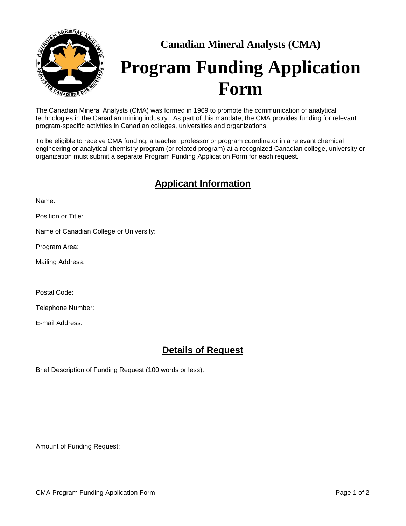

# **Canadian Mineral Analysts (CMA) Program Funding Application Form**

The Canadian Mineral Analysts (CMA) was formed in 1969 to promote the communication of analytical technologies in the Canadian mining industry. As part of this mandate, the CMA provides funding for relevant program-specific activities in Canadian colleges, universities and organizations.

To be eligible to receive CMA funding, a teacher, professor or program coordinator in a relevant chemical engineering or analytical chemistry program (or related program) at a recognized Canadian college, university or organization must submit a separate Program Funding Application Form for each request.

## **Applicant Information**

Name:

Position or Title:

Name of Canadian College or University:

Program Area:

Mailing Address:

Postal Code:

Telephone Number:

E-mail Address:

#### **Details of Request**

Brief Description of Funding Request (100 words or less):

Amount of Funding Request: